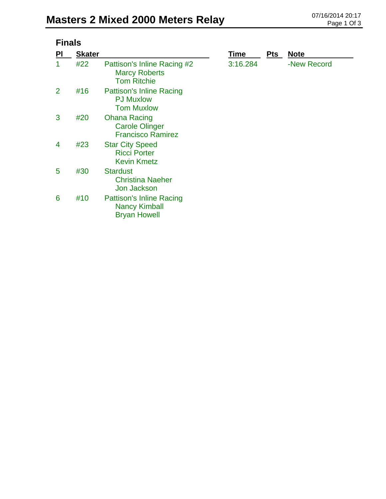| <b>Finals</b>  |               |                                                                                |          |            |             |  |  |
|----------------|---------------|--------------------------------------------------------------------------------|----------|------------|-------------|--|--|
| PI             | <b>Skater</b> |                                                                                | Time     | <b>Pts</b> | <b>Note</b> |  |  |
|                | #22           | Pattison's Inline Racing #2<br><b>Marcy Roberts</b><br><b>Tom Ritchie</b>      | 3:16.284 |            | -New Record |  |  |
| $\overline{2}$ | #16           | <b>Pattison's Inline Racing</b><br><b>PJ Muxlow</b><br><b>Tom Muxlow</b>       |          |            |             |  |  |
| 3              | #20           | <b>Ohana Racing</b><br><b>Carole Olinger</b><br><b>Francisco Ramirez</b>       |          |            |             |  |  |
| 4              | #23           | <b>Star City Speed</b><br><b>Ricci Porter</b><br><b>Kevin Kmetz</b>            |          |            |             |  |  |
| 5              | #30           | <b>Stardust</b><br><b>Christina Naeher</b><br><b>Jon Jackson</b>               |          |            |             |  |  |
| 6              | #10           | <b>Pattison's Inline Racing</b><br><b>Nancy Kimball</b><br><b>Bryan Howell</b> |          |            |             |  |  |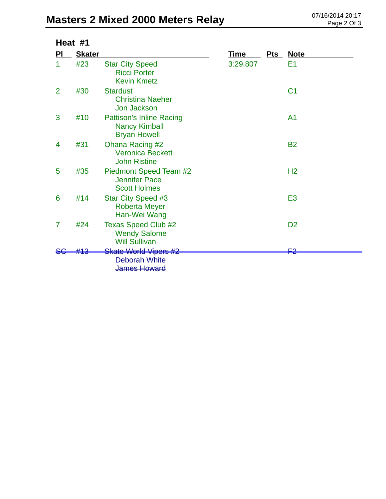## **Masters 2 Mixed 2000 Meters Relay** 07/16/2014 20:17<br>Page 2 Of 3

|    | Heat #1       |                                                                                 |             |     |                |
|----|---------------|---------------------------------------------------------------------------------|-------------|-----|----------------|
| PI | <b>Skater</b> |                                                                                 | <u>Time</u> | Pts | <b>Note</b>    |
| 1  | #23           | <b>Star City Speed</b><br><b>Ricci Porter</b><br><b>Kevin Kmetz</b>             | 3:29.807    |     | E <sub>1</sub> |
| 2  | #30           | <b>Stardust</b><br><b>Christina Naeher</b><br>Jon Jackson                       |             |     | C <sub>1</sub> |
| 3  | #10           | <b>Pattison's Inline Racing</b><br><b>Nancy Kimball</b><br><b>Bryan Howell</b>  |             |     | A <sub>1</sub> |
| 4  | #31           | Ohana Racing #2<br><b>Veronica Beckett</b><br><b>John Ristine</b>               |             |     | <b>B2</b>      |
| 5  | #35           | Piedmont Speed Team #2<br><b>Jennifer Pace</b><br><b>Scott Holmes</b>           |             |     | H <sub>2</sub> |
| 6  | #14           | Star City Speed #3<br><b>Roberta Meyer</b><br>Han-Wei Wang                      |             |     | E <sub>3</sub> |
| 7  | #24           | <b>Texas Speed Club #2</b><br><b>Wendy Salome</b><br><b>Will Sullivan</b>       |             |     | D <sub>2</sub> |
|    |               | <b>Skate World Vipers #2</b><br><b>Deborah White</b><br><del>James Howard</del> |             |     | F2             |